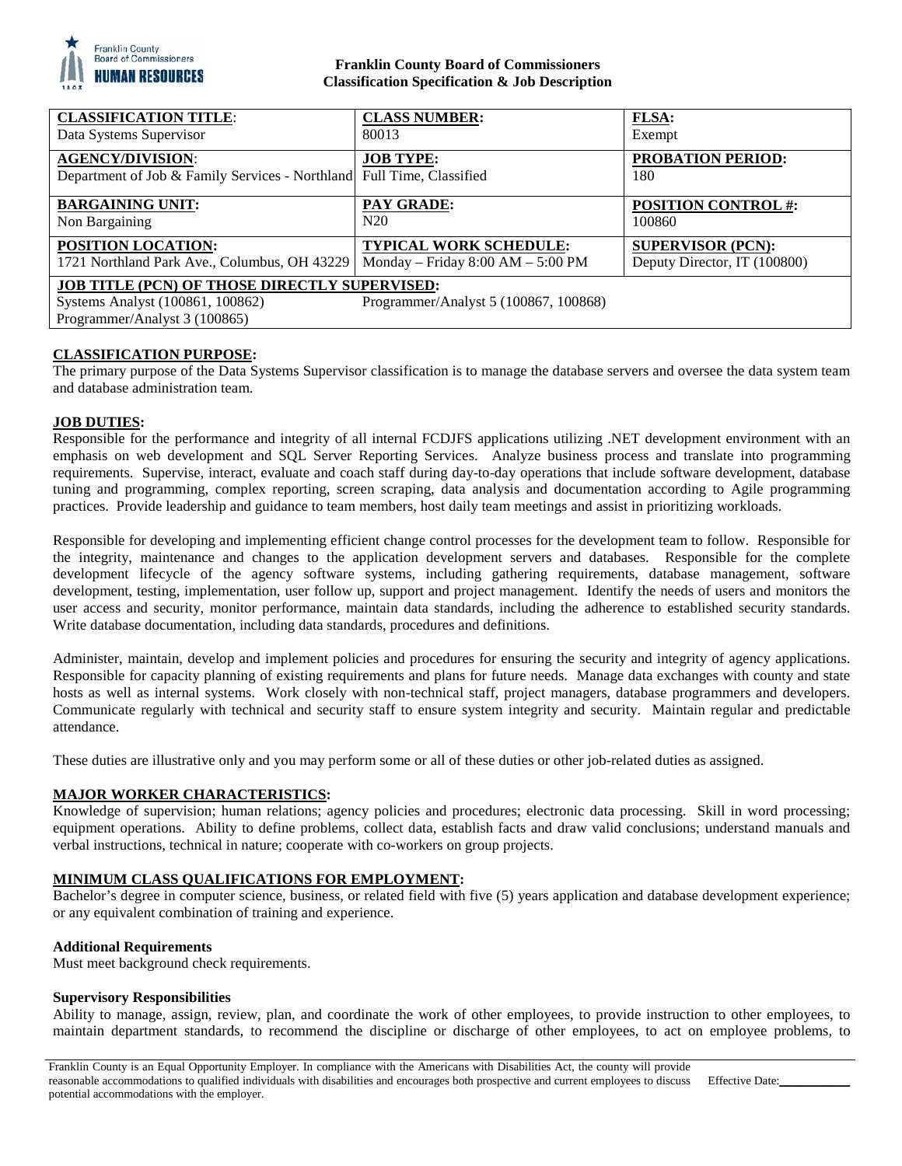

## **Franklin County Board of Commissioners Classification Specification & Job Description**

| <b>CLASSIFICATION TITLE:</b>                                                                                                                                       | <b>CLASS NUMBER:</b>              | <b>FLSA:</b>                    |
|--------------------------------------------------------------------------------------------------------------------------------------------------------------------|-----------------------------------|---------------------------------|
| Data Systems Supervisor                                                                                                                                            | 80013                             | Exempt                          |
| <b>AGENCY/DIVISION:</b><br>Department of Job & Family Services - Northland Full Time, Classified                                                                   | <b>JOB TYPE:</b>                  | <b>PROBATION PERIOD:</b><br>180 |
| <b>BARGAINING UNIT:</b>                                                                                                                                            | <b>PAY GRADE:</b>                 | <b>POSITION CONTROL #:</b>      |
| Non Bargaining                                                                                                                                                     | N20                               | 100860                          |
| <b>POSITION LOCATION:</b>                                                                                                                                          | <b>TYPICAL WORK SCHEDULE:</b>     | <b>SUPERVISOR (PCN):</b>        |
| 1721 Northland Park Ave., Columbus, OH 43229                                                                                                                       | Monday - Friday 8:00 AM - 5:00 PM | Deputy Director, IT (100800)    |
| <b>JOB TITLE (PCN) OF THOSE DIRECTLY SUPERVISED:</b><br>Systems Analyst (100861, 100862)<br>Programmer/Analyst 5 (100867, 100868)<br>Programmer/Analyst 3 (100865) |                                   |                                 |

### **CLASSIFICATION PURPOSE:**

The primary purpose of the Data Systems Supervisor classification is to manage the database servers and oversee the data system team and database administration team.

# **JOB DUTIES:**

Responsible for the performance and integrity of all internal FCDJFS applications utilizing .NET development environment with an emphasis on web development and SQL Server Reporting Services. Analyze business process and translate into programming requirements. Supervise, interact, evaluate and coach staff during day-to-day operations that include software development, database tuning and programming, complex reporting, screen scraping, data analysis and documentation according to Agile programming practices. Provide leadership and guidance to team members, host daily team meetings and assist in prioritizing workloads.

Responsible for developing and implementing efficient change control processes for the development team to follow. Responsible for the integrity, maintenance and changes to the application development servers and databases. Responsible for the complete development lifecycle of the agency software systems, including gathering requirements, database management, software development, testing, implementation, user follow up, support and project management. Identify the needs of users and monitors the user access and security, monitor performance, maintain data standards, including the adherence to established security standards. Write database documentation, including data standards, procedures and definitions.

Administer, maintain, develop and implement policies and procedures for ensuring the security and integrity of agency applications. Responsible for capacity planning of existing requirements and plans for future needs. Manage data exchanges with county and state hosts as well as internal systems. Work closely with non-technical staff, project managers, database programmers and developers. Communicate regularly with technical and security staff to ensure system integrity and security. Maintain regular and predictable attendance.

These duties are illustrative only and you may perform some or all of these duties or other job-related duties as assigned.

# **MAJOR WORKER CHARACTERISTICS:**

Knowledge of supervision; human relations; agency policies and procedures; electronic data processing. Skill in word processing; equipment operations. Ability to define problems, collect data, establish facts and draw valid conclusions; understand manuals and verbal instructions, technical in nature; cooperate with co-workers on group projects.

### **MINIMUM CLASS QUALIFICATIONS FOR EMPLOYMENT:**

Bachelor's degree in computer science, business, or related field with five (5) years application and database development experience; or any equivalent combination of training and experience.

### **Additional Requirements**

Must meet background check requirements.

### **Supervisory Responsibilities**

Ability to manage, assign, review, plan, and coordinate the work of other employees, to provide instruction to other employees, to maintain department standards, to recommend the discipline or discharge of other employees, to act on employee problems, to

Franklin County is an Equal Opportunity Employer. In compliance with the Americans with Disabilities Act, the county will provide reasonable accommodations to qualified individuals with disabilities and encourages both prospective and current employees to discuss potential accommodations with the employer.

Effective Date: